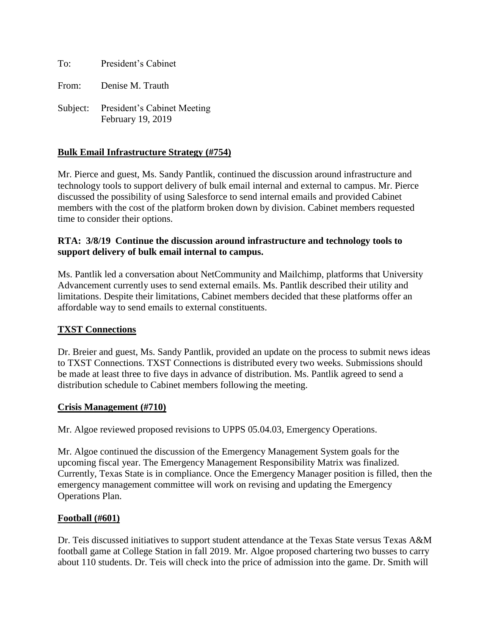To: President's Cabinet

From: Denise M. Trauth

Subject: President's Cabinet Meeting February 19, 2019

# **Bulk Email Infrastructure Strategy (#754)**

Mr. Pierce and guest, Ms. Sandy Pantlik, continued the discussion around infrastructure and technology tools to support delivery of bulk email internal and external to campus. Mr. Pierce discussed the possibility of using Salesforce to send internal emails and provided Cabinet members with the cost of the platform broken down by division. Cabinet members requested time to consider their options.

### **RTA: 3/8/19 Continue the discussion around infrastructure and technology tools to support delivery of bulk email internal to campus.**

Ms. Pantlik led a conversation about NetCommunity and Mailchimp, platforms that University Advancement currently uses to send external emails. Ms. Pantlik described their utility and limitations. Despite their limitations, Cabinet members decided that these platforms offer an affordable way to send emails to external constituents.

## **TXST Connections**

Dr. Breier and guest, Ms. Sandy Pantlik, provided an update on the process to submit news ideas to TXST Connections. TXST Connections is distributed every two weeks. Submissions should be made at least three to five days in advance of distribution. Ms. Pantlik agreed to send a distribution schedule to Cabinet members following the meeting.

#### **Crisis Management (#710)**

Mr. Algoe reviewed proposed revisions to UPPS 05.04.03, Emergency Operations.

Mr. Algoe continued the discussion of the Emergency Management System goals for the upcoming fiscal year. The Emergency Management Responsibility Matrix was finalized. Currently, Texas State is in compliance. Once the Emergency Manager position is filled, then the emergency management committee will work on revising and updating the Emergency Operations Plan.

#### **Football (#601)**

Dr. Teis discussed initiatives to support student attendance at the Texas State versus Texas A&M football game at College Station in fall 2019. Mr. Algoe proposed chartering two busses to carry about 110 students. Dr. Teis will check into the price of admission into the game. Dr. Smith will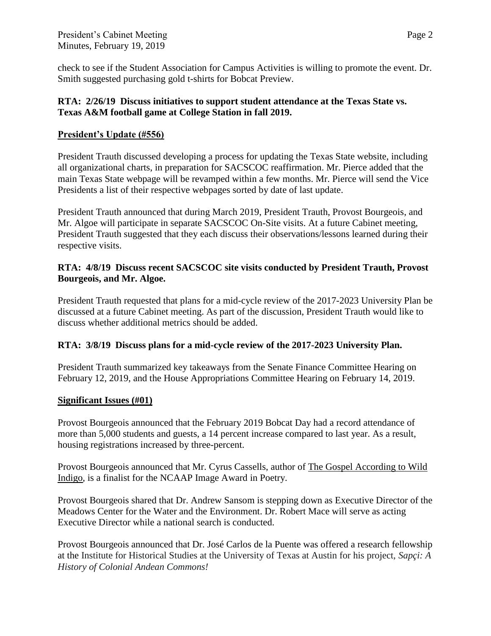check to see if the Student Association for Campus Activities is willing to promote the event. Dr. Smith suggested purchasing gold t-shirts for Bobcat Preview.

## **RTA: 2/26/19 Discuss initiatives to support student attendance at the Texas State vs. Texas A&M football game at College Station in fall 2019.**

# **President's Update (#556)**

President Trauth discussed developing a process for updating the Texas State website, including all organizational charts, in preparation for SACSCOC reaffirmation. Mr. Pierce added that the main Texas State webpage will be revamped within a few months. Mr. Pierce will send the Vice Presidents a list of their respective webpages sorted by date of last update.

President Trauth announced that during March 2019, President Trauth, Provost Bourgeois, and Mr. Algoe will participate in separate SACSCOC On-Site visits. At a future Cabinet meeting, President Trauth suggested that they each discuss their observations/lessons learned during their respective visits.

## **RTA: 4/8/19 Discuss recent SACSCOC site visits conducted by President Trauth, Provost Bourgeois, and Mr. Algoe.**

President Trauth requested that plans for a mid-cycle review of the 2017-2023 University Plan be discussed at a future Cabinet meeting. As part of the discussion, President Trauth would like to discuss whether additional metrics should be added.

## **RTA: 3/8/19 Discuss plans for a mid-cycle review of the 2017-2023 University Plan.**

President Trauth summarized key takeaways from the Senate Finance Committee Hearing on February 12, 2019, and the House Appropriations Committee Hearing on February 14, 2019.

## **Significant Issues (#01)**

Provost Bourgeois announced that the February 2019 Bobcat Day had a record attendance of more than 5,000 students and guests, a 14 percent increase compared to last year. As a result, housing registrations increased by three-percent.

Provost Bourgeois announced that Mr. Cyrus Cassells, author of The Gospel According to Wild Indigo, is a finalist for the NCAAP Image Award in Poetry.

Provost Bourgeois shared that Dr. Andrew Sansom is stepping down as Executive Director of the Meadows Center for the Water and the Environment. Dr. Robert Mace will serve as acting Executive Director while a national search is conducted.

Provost Bourgeois announced that Dr. José Carlos de la Puente was offered a research fellowship at the Institute for Historical Studies at the University of Texas at Austin for his project, *Sapçi: A History of Colonial Andean Commons!*